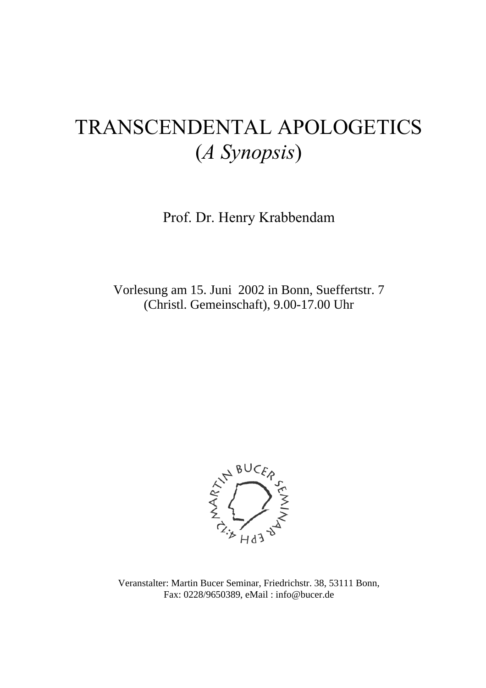# TRANSCENDENTAL APOLOGETICS (*A Synopsis*)

Prof. Dr. Henry Krabbendam

Vorlesung am 15. Juni 2002 in Bonn, Sueffertstr. 7 (Christl. Gemeinschaft), 9.00-17.00 Uhr



Veranstalter: Martin Bucer Seminar, Friedrichstr. 38, 53111 Bonn, Fax: 0228/9650389, eMail : info@bucer.de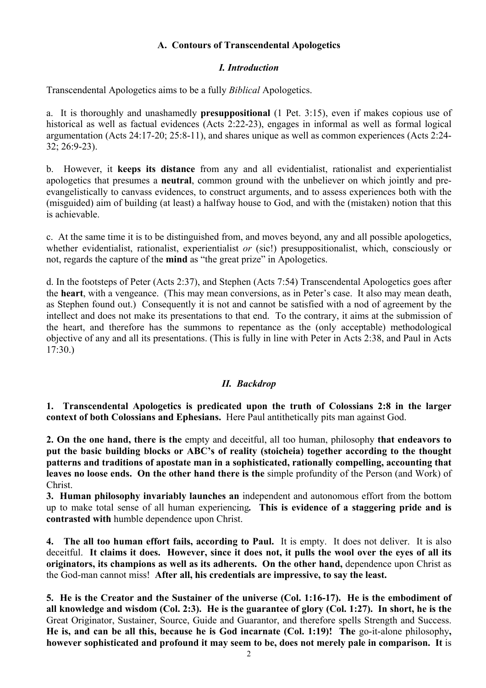# **A. Contours of Transcendental Apologetics**

# *I. Introduction*

Transcendental Apologetics aims to be a fully *Biblical* Apologetics.

a. It is thoroughly and unashamedly **presuppositional** (1 Pet. 3:15), even if makes copious use of historical as well as factual evidences (Acts 2:22-23), engages in informal as well as formal logical argumentation (Acts 24:17-20; 25:8-11), and shares unique as well as common experiences (Acts 2:24- 32; 26:9-23).

b. However, it **keeps its distance** from any and all evidentialist, rationalist and experientialist apologetics that presumes a **neutral**, common ground with the unbeliever on which jointly and preevangelistically to canvass evidences, to construct arguments, and to assess experiences both with the (misguided) aim of building (at least) a halfway house to God, and with the (mistaken) notion that this is achievable.

c. At the same time it is to be distinguished from, and moves beyond, any and all possible apologetics, whether evidentialist, rationalist, experientialist *or* (sic!) presuppositionalist, which, consciously or not, regards the capture of the **mind** as "the great prize" in Apologetics.

d. In the footsteps of Peter (Acts 2:37), and Stephen (Acts 7:54) Transcendental Apologetics goes after the **heart**, with a vengeance. (This may mean conversions, as in Peter's case. It also may mean death, as Stephen found out.) Consequently it is not and cannot be satisfied with a nod of agreement by the intellect and does not make its presentations to that end. To the contrary, it aims at the submission of the heart, and therefore has the summons to repentance as the (only acceptable) methodological objective of any and all its presentations. (This is fully in line with Peter in Acts 2:38, and Paul in Acts 17:30.)

# *II. Backdrop*

**1. Transcendental Apologetics is predicated upon the truth of Colossians 2:8 in the larger context of both Colossians and Ephesians.** Here Paul antithetically pits man against God.

**2. On the one hand, there is the** empty and deceitful, all too human, philosophy **that endeavors to put the basic building blocks or ABC's of reality (stoicheia) together according to the thought patterns and traditions of apostate man in a sophisticated, rationally compelling, accounting that leaves no loose ends. On the other hand there is the** simple profundity of the Person (and Work) of Christ.

**3. Human philosophy invariably launches an** independent and autonomous effort from the bottom up to make total sense of all human experiencing*.* **This is evidence of a staggering pride and is contrasted with** humble dependence upon Christ.

**4. The all too human effort fails, according to Paul.** It is empty. It does not deliver. It is also deceitful. **It claims it does. However, since it does not, it pulls the wool over the eyes of all its originators, its champions as well as its adherents. On the other hand,** dependence upon Christ as the God-man cannot miss! **After all, his credentials are impressive, to say the least.** 

**5. He is the Creator and the Sustainer of the universe (Col. 1:16-17). He is the embodiment of all knowledge and wisdom (Col. 2:3). He is the guarantee of glory (Col. 1:27). In short, he is the**  Great Originator, Sustainer, Source, Guide and Guarantor, and therefore spells Strength and Success. **He is, and can be all this, because he is God incarnate (Col. 1:19)! The** go-it-alone philosophy**, however sophisticated and profound it may seem to be, does not merely pale in comparison. It** is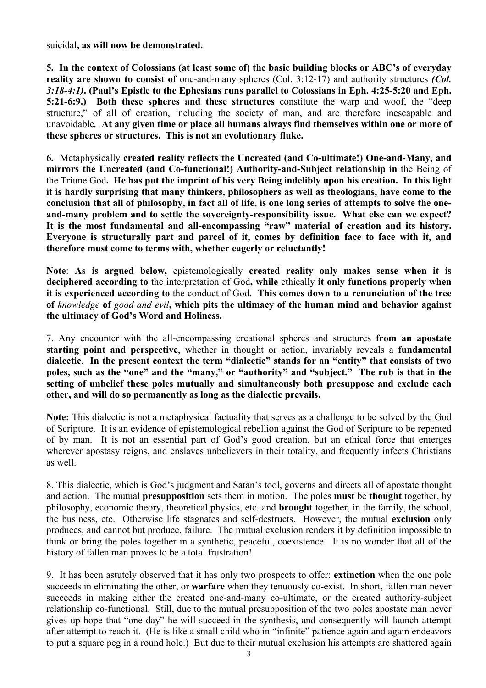suicidal**, as will now be demonstrated.** 

**5. In the context of Colossians (at least some of) the basic building blocks or ABC's of everyday reality are shown to consist of** one-and-many spheres (Col. 3:12-17) and authority structures *(Col. 3:18-4:1)***. (Paul's Epistle to the Ephesians runs parallel to Colossians in Eph. 4:25-5:20 and Eph. 5:21-6:9.) Both these spheres and these structures** constitute the warp and woof, the "deep structure," of all of creation, including the society of man, and are therefore inescapable and unavoidable*.* **At any given time or place all humans always find themselves within one or more of these spheres or structures. This is not an evolutionary fluke.** 

**6.** Metaphysically **created reality reflects the Uncreated (and Co-ultimate!) One-and-Many, and mirrors the Uncreated (and Co-functional!) Authority-and-Subject relationship in** the Being of the Triune God**. He has put the imprint of his very Being indelibly upon his creation. In this light it is hardly surprising that many thinkers, philosophers as well as theologians, have come to the conclusion that all of philosophy, in fact all of life, is one long series of attempts to solve the oneand-many problem and to settle the sovereignty-responsibility issue. What else can we expect? It is the most fundamental and all-encompassing "raw" material of creation and its history. Everyone is structurally part and parcel of it, comes by definition face to face with it, and therefore must come to terms with, whether eagerly or reluctantly!** 

**Note**: **As is argued below,** epistemologically **created reality only makes sense when it is deciphered according to** the interpretation of God**, while** ethically **it only functions properly when it is experienced according to** the conduct of God**. This comes down to a renunciation of the tree of** *knowledge* **of** *good and evil***, which pits the ultimacy of the human mind and behavior against the ultimacy of God's Word and Holiness.** 

7. Any encounter with the all-encompassing creational spheres and structures **from an apostate starting point and perspective**, whether in thought or action, invariably reveals a **fundamental dialectic**. **In the present context the term "dialectic" stands for an "entity" that consists of two poles, such as the "one" and the "many," or "authority" and "subject." The rub is that in the setting of unbelief these poles mutually and simultaneously both presuppose and exclude each other, and will do so permanently as long as the dialectic prevails.** 

**Note:** This dialectic is not a metaphysical factuality that serves as a challenge to be solved by the God of Scripture. It is an evidence of epistemological rebellion against the God of Scripture to be repented of by man. It is not an essential part of God's good creation, but an ethical force that emerges wherever apostasy reigns, and enslaves unbelievers in their totality, and frequently infects Christians as well.

8. This dialectic, which is God's judgment and Satan's tool, governs and directs all of apostate thought and action. The mutual **presupposition** sets them in motion. The poles **must** be **thought** together, by philosophy, economic theory, theoretical physics, etc. and **brought** together, in the family, the school, the business, etc. Otherwise life stagnates and self-destructs. However, the mutual **exclusion** only produces, and cannot but produce, failure. The mutual exclusion renders it by definition impossible to think or bring the poles together in a synthetic, peaceful, coexistence. It is no wonder that all of the history of fallen man proves to be a total frustration!

9. It has been astutely observed that it has only two prospects to offer: **extinction** when the one pole succeeds in eliminating the other, or **warfare** when they tenuously co-exist. In short, fallen man never succeeds in making either the created one-and-many co-ultimate, or the created authority-subject relationship co-functional. Still, due to the mutual presupposition of the two poles apostate man never gives up hope that "one day" he will succeed in the synthesis, and consequently will launch attempt after attempt to reach it. (He is like a small child who in "infinite" patience again and again endeavors to put a square peg in a round hole.) But due to their mutual exclusion his attempts are shattered again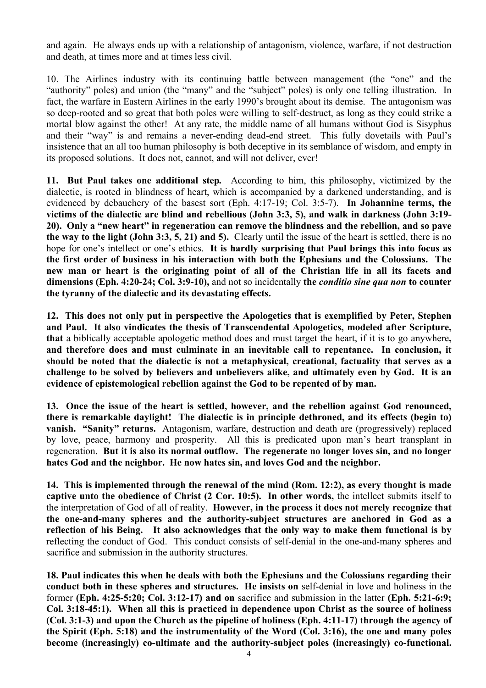and again. He always ends up with a relationship of antagonism, violence, warfare, if not destruction and death, at times more and at times less civil.

10. The Airlines industry with its continuing battle between management (the "one" and the "authority" poles) and union (the "many" and the "subject" poles) is only one telling illustration. In fact, the warfare in Eastern Airlines in the early 1990's brought about its demise. The antagonism was so deep-rooted and so great that both poles were willing to self-destruct, as long as they could strike a mortal blow against the other! At any rate, the middle name of all humans without God is Sisyphus and their "way" is and remains a never-ending dead-end street. This fully dovetails with Paul's insistence that an all too human philosophy is both deceptive in its semblance of wisdom, and empty in its proposed solutions. It does not, cannot, and will not deliver, ever!

**11. But Paul takes one additional step***.* According to him, this philosophy, victimized by the dialectic, is rooted in blindness of heart, which is accompanied by a darkened understanding, and is evidenced by debauchery of the basest sort (Eph. 4:17-19; Col. 3:5-7). **In Johannine terms, the victims of the dialectic are blind and rebellious (John 3:3, 5), and walk in darkness (John 3:19- 20). Only a "new heart" in regeneration can remove the blindness and the rebellion, and so pave the way to the light (John 3:3, 5, 21) and 5).** Clearly until the issue of the heart is settled, there is no hope for one's intellect or one's ethics. **It is hardly surprising that Paul brings this into focus as the first order of business in his interaction with both the Ephesians and the Colossians. The new man or heart is the originating point of all of the Christian life in all its facets and dimensions (Eph. 4:20-24; Col. 3:9-10),** and not so incidentally **the** *conditio sine qua non* **to counter the tyranny of the dialectic and its devastating effects.** 

**12. This does not only put in perspective the Apologetics that is exemplified by Peter, Stephen and Paul. It also vindicates the thesis of Transcendental Apologetics, modeled after Scripture, that** a biblically acceptable apologetic method does and must target the heart, if it is to go anywhere**, and therefore does and must culminate in an inevitable call to repentance. In conclusion, it should be noted that the dialectic is not a metaphysical, creational, factuality that serves as a challenge to be solved by believers and unbelievers alike, and ultimately even by God. It is an evidence of epistemological rebellion against the God to be repented of by man.** 

**13. Once the issue of the heart is settled, however, and the rebellion against God renounced, there is remarkable daylight! The dialectic is in principle dethroned, and its effects (begin to) vanish. "Sanity" returns.** Antagonism, warfare, destruction and death are (progressively) replaced by love, peace, harmony and prosperity. All this is predicated upon man's heart transplant in regeneration. **But it is also its normal outflow. The regenerate no longer loves sin, and no longer hates God and the neighbor. He now hates sin, and loves God and the neighbor.** 

**14. This is implemented through the renewal of the mind (Rom. 12:2), as every thought is made captive unto the obedience of Christ (2 Cor. 10:5). In other words,** the intellect submits itself to the interpretation of God of all of reality. **However, in the process it does not merely recognize that the one-and-many spheres and the authority-subject structures are anchored in God as a reflection of his Being. It also acknowledges that the only way to make them functional is by**  reflecting the conduct of God. This conduct consists of self-denial in the one-and-many spheres and sacrifice and submission in the authority structures.

**18. Paul indicates this when he deals with both the Ephesians and the Colossians regarding their conduct both in these spheres and structures. He insists on** self-denial in love and holiness in the former **(Eph. 4:25-5:20; Col. 3:12-17) and on** sacrifice and submission in the latter **(Eph. 5:21-6:9; Col. 3:18-45:1). When all this is practiced in dependence upon Christ as the source of holiness (Col. 3:1-3) and upon the Church as the pipeline of holiness (Eph. 4:11-17) through the agency of the Spirit (Eph. 5:18) and the instrumentality of the Word (Col. 3:16), the one and many poles become (increasingly) co-ultimate and the authority-subject poles (increasingly) co-functional.**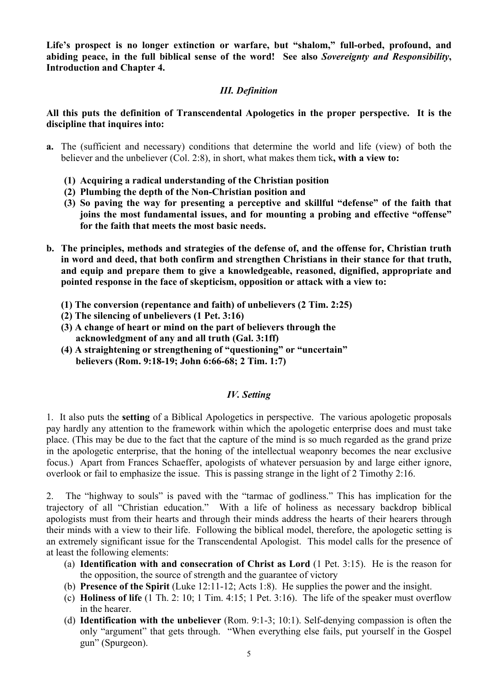**Life's prospect is no longer extinction or warfare, but "shalom," full-orbed, profound, and abiding peace, in the full biblical sense of the word! See also** *Sovereignty and Responsibility***, Introduction and Chapter 4.**

# *III. Definition*

**All this puts the definition of Transcendental Apologetics in the proper perspective. It is the discipline that inquires into:** 

- **a.** The (sufficient and necessary) conditions that determine the world and life (view) of both the believer and the unbeliever (Col. 2:8), in short, what makes them tick**, with a view to:** 
	- **(1) Acquiring a radical understanding of the Christian position**
	- **(2) Plumbing the depth of the Non-Christian position and**
	- **(3) So paving the way for presenting a perceptive and skillful "defense" of the faith that joins the most fundamental issues, and for mounting a probing and effective "offense" for the faith that meets the most basic needs.**
- **b. The principles, methods and strategies of the defense of, and the offense for, Christian truth in word and deed, that both confirm and strengthen Christians in their stance for that truth, and equip and prepare them to give a knowledgeable, reasoned, dignified, appropriate and pointed response in the face of skepticism, opposition or attack with a view to:** 
	- **(1) The conversion (repentance and faith) of unbelievers (2 Tim. 2:25)**
	- **(2) The silencing of unbelievers (1 Pet. 3:16)**
	- **(3) A change of heart or mind on the part of believers through the acknowledgment of any and all truth (Gal. 3:1ff)**
	- **(4) A straightening or strengthening of "questioning" or "uncertain" believers (Rom. 9:18-19; John 6:66-68; 2 Tim. 1:7)**

# *IV. Setting*

1. It also puts the **setting** of a Biblical Apologetics in perspective. The various apologetic proposals pay hardly any attention to the framework within which the apologetic enterprise does and must take place. (This may be due to the fact that the capture of the mind is so much regarded as the grand prize in the apologetic enterprise, that the honing of the intellectual weaponry becomes the near exclusive focus.) Apart from Frances Schaeffer, apologists of whatever persuasion by and large either ignore, overlook or fail to emphasize the issue. This is passing strange in the light of 2 Timothy 2:16.

2. The "highway to souls" is paved with the "tarmac of godliness." This has implication for the trajectory of all "Christian education." With a life of holiness as necessary backdrop biblical apologists must from their hearts and through their minds address the hearts of their hearers through their minds with a view to their life. Following the biblical model, therefore, the apologetic setting is an extremely significant issue for the Transcendental Apologist. This model calls for the presence of at least the following elements:

- (a) **Identification with and consecration of Christ as Lord** (1 Pet. 3:15). He is the reason for the opposition, the source of strength and the guarantee of victory
- (b) **Presence of the Spirit** (Luke 12:11-12; Acts 1:8). He supplies the power and the insight.
- (c) **Holiness of life** (1 Th. 2: 10; 1 Tim. 4:15; 1 Pet. 3:16). The life of the speaker must overflow in the hearer.
- (d) **Identification with the unbeliever** (Rom. 9:1-3; 10:1). Self-denying compassion is often the only "argument" that gets through. "When everything else fails, put yourself in the Gospel gun" (Spurgeon).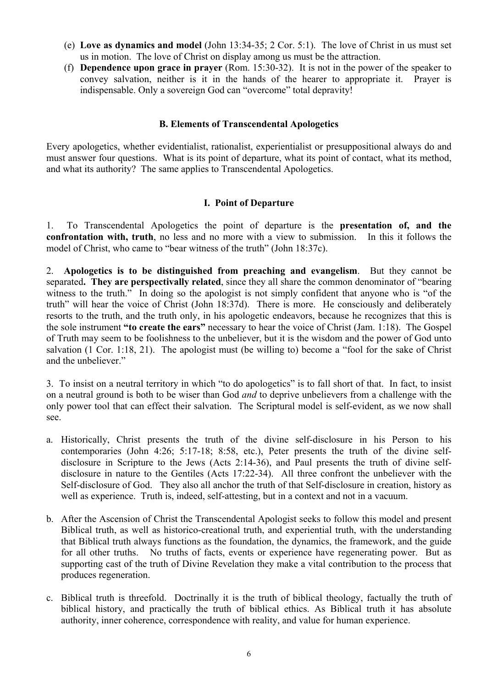- (e) **Love as dynamics and model** (John 13:34-35; 2 Cor. 5:1). The love of Christ in us must set us in motion. The love of Christ on display among us must be the attraction.
- (f) **Dependence upon grace in prayer** (Rom. 15:30-32). It is not in the power of the speaker to convey salvation, neither is it in the hands of the hearer to appropriate it. Prayer is indispensable. Only a sovereign God can "overcome" total depravity!

## **B. Elements of Transcendental Apologetics**

Every apologetics, whether evidentialist, rationalist, experientialist or presuppositional always do and must answer four questions. What is its point of departure, what its point of contact, what its method, and what its authority? The same applies to Transcendental Apologetics.

# **I. Point of Departure**

1. To Transcendental Apologetics the point of departure is the **presentation of, and the confrontation with, truth**, no less and no more with a view to submission. In this it follows the model of Christ, who came to "bear witness of the truth" (John 18:37c).

2. **Apologetics is to be distinguished from preaching and evangelism**. But they cannot be separated**. They are perspectivally related**, since they all share the common denominator of "bearing witness to the truth." In doing so the apologist is not simply confident that anyone who is "of the truth" will hear the voice of Christ (John 18:37d). There is more. He consciously and deliberately resorts to the truth, and the truth only, in his apologetic endeavors, because he recognizes that this is the sole instrument **"to create the ears"** necessary to hear the voice of Christ (Jam. 1:18). The Gospel of Truth may seem to be foolishness to the unbeliever, but it is the wisdom and the power of God unto salvation (1 Cor. 1:18, 21). The apologist must (be willing to) become a "fool for the sake of Christ and the unbeliever."

3. To insist on a neutral territory in which "to do apologetics" is to fall short of that. In fact, to insist on a neutral ground is both to be wiser than God *and* to deprive unbelievers from a challenge with the only power tool that can effect their salvation. The Scriptural model is self-evident, as we now shall see.

- a. Historically, Christ presents the truth of the divine self-disclosure in his Person to his contemporaries (John 4:26; 5:17-18; 8:58, etc.), Peter presents the truth of the divine selfdisclosure in Scripture to the Jews (Acts 2:14-36), and Paul presents the truth of divine selfdisclosure in nature to the Gentiles (Acts 17:22-34). All three confront the unbeliever with the Self-disclosure of God. They also all anchor the truth of that Self-disclosure in creation, history as well as experience. Truth is, indeed, self-attesting, but in a context and not in a vacuum.
- b. After the Ascension of Christ the Transcendental Apologist seeks to follow this model and present Biblical truth, as well as historico-creational truth, and experiential truth, with the understanding that Biblical truth always functions as the foundation, the dynamics, the framework, and the guide for all other truths. No truths of facts, events or experience have regenerating power. But as supporting cast of the truth of Divine Revelation they make a vital contribution to the process that produces regeneration.
- c. Biblical truth is threefold. Doctrinally it is the truth of biblical theology, factually the truth of biblical history, and practically the truth of biblical ethics. As Biblical truth it has absolute authority, inner coherence, correspondence with reality, and value for human experience.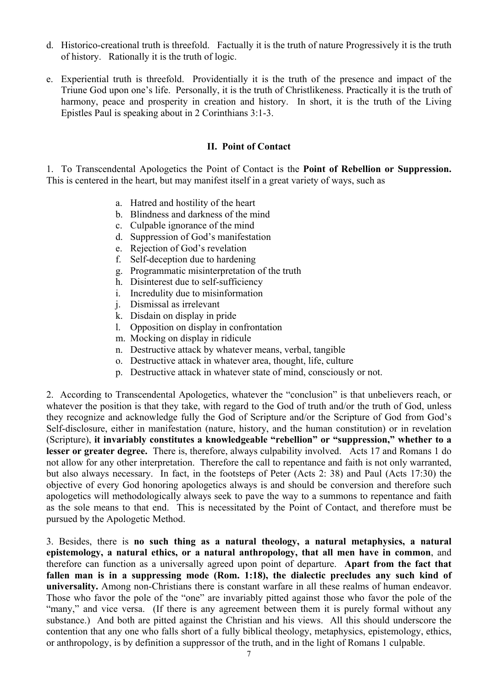- d. Historico-creational truth is threefold. Factually it is the truth of nature Progressively it is the truth of history. Rationally it is the truth of logic.
- e. Experiential truth is threefold. Providentially it is the truth of the presence and impact of the Triune God upon one's life. Personally, it is the truth of Christlikeness. Practically it is the truth of harmony, peace and prosperity in creation and history. In short, it is the truth of the Living Epistles Paul is speaking about in 2 Corinthians 3:1-3.

## **II. Point of Contact**

1. To Transcendental Apologetics the Point of Contact is the **Point of Rebellion or Suppression.** This is centered in the heart, but may manifest itself in a great variety of ways, such as

- a. Hatred and hostility of the heart
- b. Blindness and darkness of the mind
- c. Culpable ignorance of the mind
- d. Suppression of God's manifestation
- e. Rejection of God's revelation
- f. Self-deception due to hardening
- g. Programmatic misinterpretation of the truth
- h. Disinterest due to self-sufficiency
- i. Incredulity due to misinformation
- j. Dismissal as irrelevant
- k. Disdain on display in pride
- l. Opposition on display in confrontation
- m. Mocking on display in ridicule
- n. Destructive attack by whatever means, verbal, tangible
- o. Destructive attack in whatever area, thought, life, culture
- p. Destructive attack in whatever state of mind, consciously or not.

2. According to Transcendental Apologetics, whatever the "conclusion" is that unbelievers reach, or whatever the position is that they take, with regard to the God of truth and/or the truth of God, unless they recognize and acknowledge fully the God of Scripture and/or the Scripture of God from God's Self-disclosure, either in manifestation (nature, history, and the human constitution) or in revelation (Scripture), **it invariably constitutes a knowledgeable "rebellion" or "suppression," whether to a lesser or greater degree.** There is, therefore, always culpability involved. Acts 17 and Romans 1 do not allow for any other interpretation. Therefore the call to repentance and faith is not only warranted, but also always necessary. In fact, in the footsteps of Peter (Acts 2: 38) and Paul (Acts 17:30) the objective of every God honoring apologetics always is and should be conversion and therefore such apologetics will methodologically always seek to pave the way to a summons to repentance and faith as the sole means to that end. This is necessitated by the Point of Contact, and therefore must be pursued by the Apologetic Method.

3. Besides, there is **no such thing as a natural theology, a natural metaphysics, a natural epistemology, a natural ethics, or a natural anthropology, that all men have in common**, and therefore can function as a universally agreed upon point of departure. **Apart from the fact that**  fallen man is in a suppressing mode (Rom. 1:18), the dialectic precludes any such kind of **universality.** Among non-Christians there is constant warfare in all these realms of human endeavor. Those who favor the pole of the "one" are invariably pitted against those who favor the pole of the "many," and vice versa. (If there is any agreement between them it is purely formal without any substance.) And both are pitted against the Christian and his views. All this should underscore the contention that any one who falls short of a fully biblical theology, metaphysics, epistemology, ethics, or anthropology, is by definition a suppressor of the truth, and in the light of Romans 1 culpable.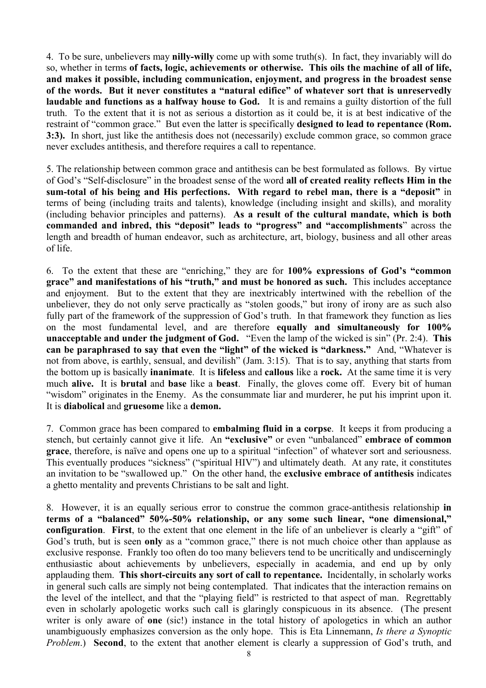4. To be sure, unbelievers may **nilly-willy** come up with some truth(s). In fact, they invariably will do so, whether in terms **of facts, logic, achievements or otherwise. This oils the machine of all of life, and makes it possible, including communication, enjoyment, and progress in the broadest sense of the words. But it never constitutes a "natural edifice" of whatever sort that is unreservedly laudable and functions as a halfway house to God.** It is and remains a guilty distortion of the full truth. To the extent that it is not as serious a distortion as it could be, it is at best indicative of the restraint of "common grace." But even the latter is specifically **designed to lead to repentance (Rom. 3:3).** In short, just like the antithesis does not (necessarily) exclude common grace, so common grace never excludes antithesis, and therefore requires a call to repentance.

5. The relationship between common grace and antithesis can be best formulated as follows. By virtue of God's "Self-disclosure" in the broadest sense of the word **all of created reality reflects Him in the sum-total of his being and His perfections. With regard to rebel man, there is a "deposit"** in terms of being (including traits and talents), knowledge (including insight and skills), and morality (including behavior principles and patterns). **As a result of the cultural mandate, which is both commanded and inbred, this "deposit" leads to "progress" and "accomplishments**" across the length and breadth of human endeavor, such as architecture, art, biology, business and all other areas of life.

6. To the extent that these are "enriching," they are for **100% expressions of God's "common grace" and manifestations of his "truth," and must be honored as such.** This includes acceptance and enjoyment. But to the extent that they are inextricably intertwined with the rebellion of the unbeliever, they do not only serve practically as "stolen goods," but irony of irony are as such also fully part of the framework of the suppression of God's truth. In that framework they function as lies on the most fundamental level, and are therefore **equally and simultaneously for 100% unacceptable and under the judgment of God.** "Even the lamp of the wicked is sin" (Pr. 2:4). **This can be paraphrased to say that even the "light" of the wicked is "darkness."** And, "Whatever is not from above, is earthly, sensual, and devilish" (Jam. 3:15). That is to say, anything that starts from the bottom up is basically **inanimate**.It is **lifeless** and **callous** like a **rock.** At the same time it is very much **alive.** It is **brutal** and **base** like a **beast**.Finally, the gloves come off. Every bit of human "wisdom" originates in the Enemy. As the consummate liar and murderer, he put his imprint upon it. It is **diabolical** and **gruesome** like a **demon.** 

7. Common grace has been compared to **embalming fluid in a corpse**. It keeps it from producing a stench, but certainly cannot give it life. An **"exclusive"** or even "unbalanced" **embrace of common grace**, therefore, is naïve and opens one up to a spiritual "infection" of whatever sort and seriousness. This eventually produces "sickness" ("spiritual HIV") and ultimately death. At any rate, it constitutes an invitation to be "swallowed up." On the other hand, the **exclusive embrace of antithesis** indicates a ghetto mentality and prevents Christians to be salt and light.

8. However, it is an equally serious error to construe the common grace-antithesis relationship **in terms of a "balanced" 50%-50% relationship, or any some such linear, "one dimensional," configuration**. **First**, to the extent that one element in the life of an unbeliever is clearly a "gift" of God's truth, but is seen **only** as a "common grace," there is not much choice other than applause as exclusive response. Frankly too often do too many believers tend to be uncritically and undiscerningly enthusiastic about achievements by unbelievers, especially in academia, and end up by only applauding them. **This short-circuits any sort of call to repentance.** Incidentally, in scholarly works in general such calls are simply not being contemplated. That indicates that the interaction remains on the level of the intellect, and that the "playing field" is restricted to that aspect of man. Regrettably even in scholarly apologetic works such call is glaringly conspicuous in its absence. (The present writer is only aware of **one** (sic!) instance in the total history of apologetics in which an author unambiguously emphasizes conversion as the only hope. This is Eta Linnemann, *Is there a Synoptic Problem*.) **Second**, to the extent that another element is clearly a suppression of God's truth, and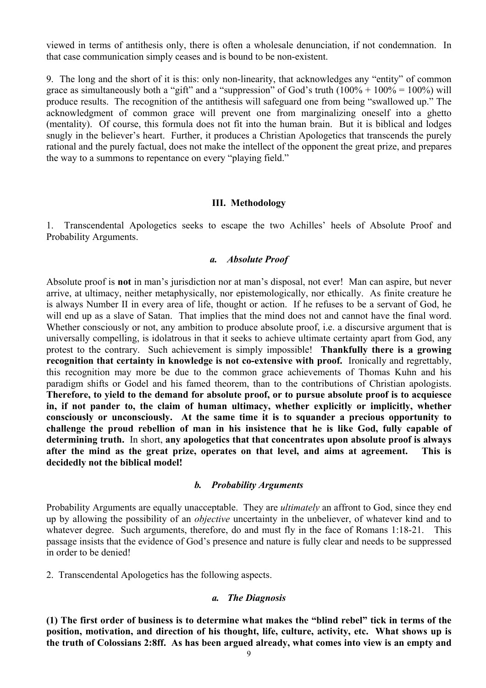viewed in terms of antithesis only, there is often a wholesale denunciation, if not condemnation. In that case communication simply ceases and is bound to be non-existent.

9. The long and the short of it is this: only non-linearity, that acknowledges any "entity" of common grace as simultaneously both a "gift" and a "suppression" of God's truth  $(100\% + 100\% = 100\%)$  will produce results. The recognition of the antithesis will safeguard one from being "swallowed up." The acknowledgment of common grace will prevent one from marginalizing oneself into a ghetto (mentality). Of course, this formula does not fit into the human brain. But it is biblical and lodges snugly in the believer's heart. Further, it produces a Christian Apologetics that transcends the purely rational and the purely factual, does not make the intellect of the opponent the great prize, and prepares the way to a summons to repentance on every "playing field."

#### **III. Methodology**

1. Transcendental Apologetics seeks to escape the two Achilles' heels of Absolute Proof and Probability Arguments.

#### *a. Absolute Proof*

Absolute proof is **not** in man's jurisdiction nor at man's disposal, not ever! Man can aspire, but never arrive, at ultimacy, neither metaphysically, nor epistemologically, nor ethically. As finite creature he is always Number II in every area of life, thought or action. If he refuses to be a servant of God, he will end up as a slave of Satan. That implies that the mind does not and cannot have the final word. Whether consciously or not, any ambition to produce absolute proof, i.e. a discursive argument that is universally compelling, is idolatrous in that it seeks to achieve ultimate certainty apart from God, any protest to the contrary. Such achievement is simply impossible! **Thankfully there is a growing recognition that certainty in knowledge is not co-extensive with proof.** Ironically and regrettably, this recognition may more be due to the common grace achievements of Thomas Kuhn and his paradigm shifts or Godel and his famed theorem, than to the contributions of Christian apologists. **Therefore, to yield to the demand for absolute proof, or to pursue absolute proof is to acquiesce in, if not pander to, the claim of human ultimacy, whether explicitly or implicitly, whether consciously or unconsciously. At the same time it is to squander a precious opportunity to challenge the proud rebellion of man in his insistence that he is like God, fully capable of determining truth.** In short, **any apologetics that that concentrates upon absolute proof is always after the mind as the great prize, operates on that level, and aims at agreement. This is decidedly not the biblical model!**

#### *b. Probability Arguments*

Probability Arguments are equally unacceptable. They are *ultimately* an affront to God, since they end up by allowing the possibility of an *objective* uncertainty in the unbeliever, of whatever kind and to whatever degree. Such arguments, therefore, do and must fly in the face of Romans 1:18-21. This passage insists that the evidence of God's presence and nature is fully clear and needs to be suppressed in order to be denied!

2. Transcendental Apologetics has the following aspects.

## *a. The Diagnosis*

**(1) The first order of business is to determine what makes the "blind rebel" tick in terms of the position, motivation, and direction of his thought, life, culture, activity, etc. What shows up is the truth of Colossians 2:8ff. As has been argued already, what comes into view is an empty and**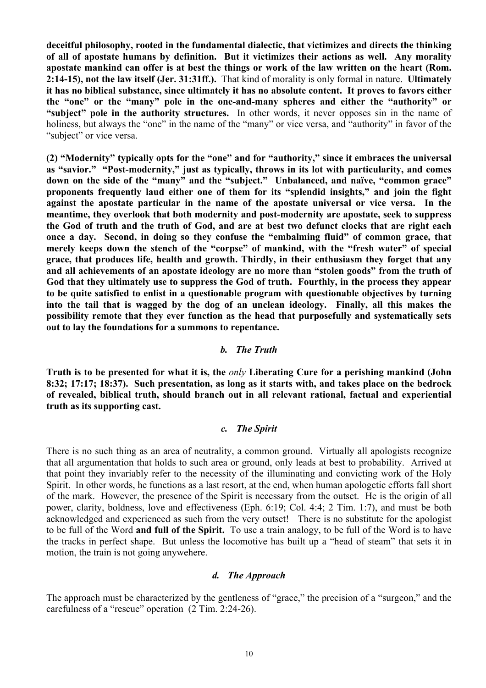**deceitful philosophy, rooted in the fundamental dialectic, that victimizes and directs the thinking of all of apostate humans by definition. But it victimizes their actions as well. Any morality apostate mankind can offer is at best the things or work of the law written on the heart (Rom. 2:14-15), not the law itself (Jer. 31:31ff.).** That kind of morality is only formal in nature. **Ultimately it has no biblical substance, since ultimately it has no absolute content. It proves to favors either the "one" or the "many" pole in the one-and-many spheres and either the "authority" or "subject" pole in the authority structures.** In other words, it never opposes sin in the name of holiness, but always the "one" in the name of the "many" or vice versa, and "authority" in favor of the "subject" or vice versa.

**(2) "Modernity" typically opts for the "one" and for "authority," since it embraces the universal as "savior." "Post-modernity," just as typically, throws in its lot with particularity, and comes down on the side of the "many" and the "subject." Unbalanced, and naïve, "common grace" proponents frequently laud either one of them for its "splendid insights," and join the fight against the apostate particular in the name of the apostate universal or vice versa. In the meantime, they overlook that both modernity and post-modernity are apostate, seek to suppress the God of truth and the truth of God, and are at best two defunct clocks that are right each once a day. Second, in doing so they confuse the "embalming fluid" of common grace, that merely keeps down the stench of the "corpse" of mankind, with the "fresh water" of special grace, that produces life, health and growth. Thirdly, in their enthusiasm they forget that any and all achievements of an apostate ideology are no more than "stolen goods" from the truth of God that they ultimately use to suppress the God of truth. Fourthly, in the process they appear to be quite satisfied to enlist in a questionable program with questionable objectives by turning into the tail that is wagged by the dog of an unclean ideology. Finally, all this makes the possibility remote that they ever function as the head that purposefully and systematically sets out to lay the foundations for a summons to repentance.** 

#### *b. The Truth*

**Truth is to be presented for what it is, the** *only* **Liberating Cure for a perishing mankind (John 8:32; 17:17; 18:37). Such presentation, as long as it starts with, and takes place on the bedrock of revealed, biblical truth, should branch out in all relevant rational, factual and experiential truth as its supporting cast.** 

#### *c. The Spirit*

There is no such thing as an area of neutrality, a common ground. Virtually all apologists recognize that all argumentation that holds to such area or ground, only leads at best to probability. Arrived at that point they invariably refer to the necessity of the illuminating and convicting work of the Holy Spirit. In other words, he functions as a last resort, at the end, when human apologetic efforts fall short of the mark. However, the presence of the Spirit is necessary from the outset. He is the origin of all power, clarity, boldness, love and effectiveness (Eph. 6:19; Col. 4:4; 2 Tim. 1:7), and must be both acknowledged and experienced as such from the very outset! There is no substitute for the apologist to be full of the Word **and full of the Spirit.** To use a train analogy, to be full of the Word is to have the tracks in perfect shape. But unless the locomotive has built up a "head of steam" that sets it in motion, the train is not going anywehere.

#### *d. The Approach*

The approach must be characterized by the gentleness of "grace," the precision of a "surgeon," and the carefulness of a "rescue" operation (2 Tim. 2:24-26).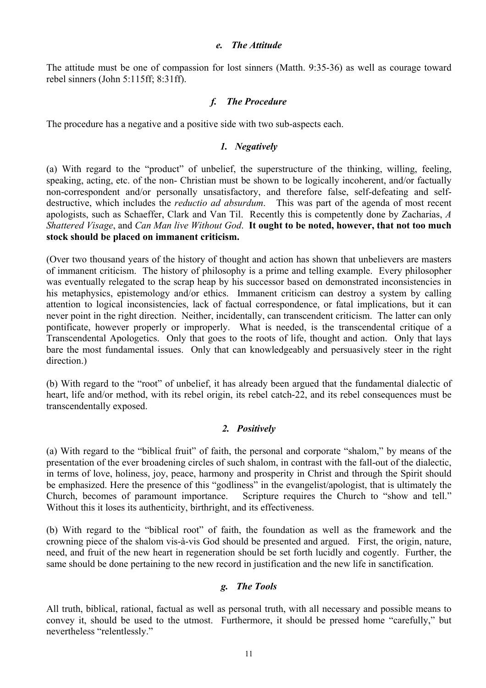#### *e. The Attitude*

The attitude must be one of compassion for lost sinners (Matth. 9:35-36) as well as courage toward rebel sinners (John 5:115ff; 8:31ff).

## *f. The Procedure*

The procedure has a negative and a positive side with two sub-aspects each.

### *1. Negatively*

(a) With regard to the "product" of unbelief, the superstructure of the thinking, willing, feeling, speaking, acting, etc. of the non- Christian must be shown to be logically incoherent, and/or factually non-correspondent and/or personally unsatisfactory, and therefore false, self-defeating and selfdestructive, which includes the *reductio ad absurdum*. This was part of the agenda of most recent apologists, such as Schaeffer, Clark and Van Til. Recently this is competently done by Zacharias, *A Shattered Visage*, and *Can Man live Without God*. **It ought to be noted, however, that not too much stock should be placed on immanent criticism.**

(Over two thousand years of the history of thought and action has shown that unbelievers are masters of immanent criticism. The history of philosophy is a prime and telling example. Every philosopher was eventually relegated to the scrap heap by his successor based on demonstrated inconsistencies in his metaphysics, epistemology and/or ethics. Immanent criticism can destroy a system by calling attention to logical inconsistencies, lack of factual correspondence, or fatal implications, but it can never point in the right direction. Neither, incidentally, can transcendent criticism. The latter can only pontificate, however properly or improperly. What is needed, is the transcendental critique of a Transcendental Apologetics. Only that goes to the roots of life, thought and action. Only that lays bare the most fundamental issues. Only that can knowledgeably and persuasively steer in the right direction.)

(b) With regard to the "root" of unbelief, it has already been argued that the fundamental dialectic of heart, life and/or method, with its rebel origin, its rebel catch-22, and its rebel consequences must be transcendentally exposed.

## *2. Positively*

(a) With regard to the "biblical fruit" of faith, the personal and corporate "shalom," by means of the presentation of the ever broadening circles of such shalom, in contrast with the fall-out of the dialectic, in terms of love, holiness, joy, peace, harmony and prosperity in Christ and through the Spirit should be emphasized. Here the presence of this "godliness" in the evangelist/apologist, that is ultimately the Church, becomes of paramount importance. Scripture requires the Church to "show and tell." Without this it loses its authenticity, birthright, and its effectiveness.

(b) With regard to the "biblical root" of faith, the foundation as well as the framework and the crowning piece of the shalom vis-à-vis God should be presented and argued. First, the origin, nature, need, and fruit of the new heart in regeneration should be set forth lucidly and cogently. Further, the same should be done pertaining to the new record in justification and the new life in sanctification.

## *g. The Tools*

All truth, biblical, rational, factual as well as personal truth, with all necessary and possible means to convey it, should be used to the utmost. Furthermore, it should be pressed home "carefully," but nevertheless "relentlessly."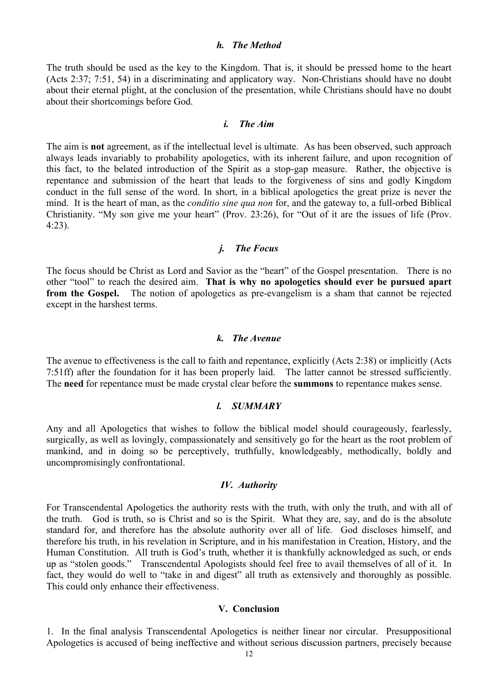#### *h. The Method*

The truth should be used as the key to the Kingdom. That is, it should be pressed home to the heart (Acts 2:37; 7:51, 54) in a discriminating and applicatory way. Non-Christians should have no doubt about their eternal plight, at the conclusion of the presentation, while Christians should have no doubt about their shortcomings before God.

#### *i. The Aim*

The aim is **not** agreement, as if the intellectual level is ultimate. As has been observed, such approach always leads invariably to probability apologetics, with its inherent failure, and upon recognition of this fact, to the belated introduction of the Spirit as a stop-gap measure. Rather, the objective is repentance and submission of the heart that leads to the forgiveness of sins and godly Kingdom conduct in the full sense of the word. In short, in a biblical apologetics the great prize is never the mind. It is the heart of man, as the *conditio sine qua non* for, and the gateway to, a full-orbed Biblical Christianity. "My son give me your heart" (Prov. 23:26), for "Out of it are the issues of life (Prov. 4:23).

# *j. The Focus*

The focus should be Christ as Lord and Savior as the "heart" of the Gospel presentation. There is no other "tool" to reach the desired aim. **That is why no apologetics should ever be pursued apart from the Gospel.** The notion of apologetics as pre-evangelism is a sham that cannot be rejected except in the harshest terms.

## *k. The Avenue*

The avenue to effectiveness is the call to faith and repentance, explicitly (Acts 2:38) or implicitly (Acts 7:51ff) after the foundation for it has been properly laid. The latter cannot be stressed sufficiently. The **need** for repentance must be made crystal clear before the **summons** to repentance makes sense.

#### *l. SUMMARY*

Any and all Apologetics that wishes to follow the biblical model should courageously, fearlessly, surgically, as well as lovingly, compassionately and sensitively go for the heart as the root problem of mankind, and in doing so be perceptively, truthfully, knowledgeably, methodically, boldly and uncompromisingly confrontational.

#### *IV. Authority*

For Transcendental Apologetics the authority rests with the truth, with only the truth, and with all of the truth. God is truth, so is Christ and so is the Spirit. What they are, say, and do is the absolute standard for, and therefore has the absolute authority over all of life. God discloses himself, and therefore his truth, in his revelation in Scripture, and in his manifestation in Creation, History, and the Human Constitution. All truth is God's truth, whether it is thankfully acknowledged as such, or ends up as "stolen goods." Transcendental Apologists should feel free to avail themselves of all of it. In fact, they would do well to "take in and digest" all truth as extensively and thoroughly as possible. This could only enhance their effectiveness.

#### **V. Conclusion**

1. In the final analysis Transcendental Apologetics is neither linear nor circular. Presuppositional Apologetics is accused of being ineffective and without serious discussion partners, precisely because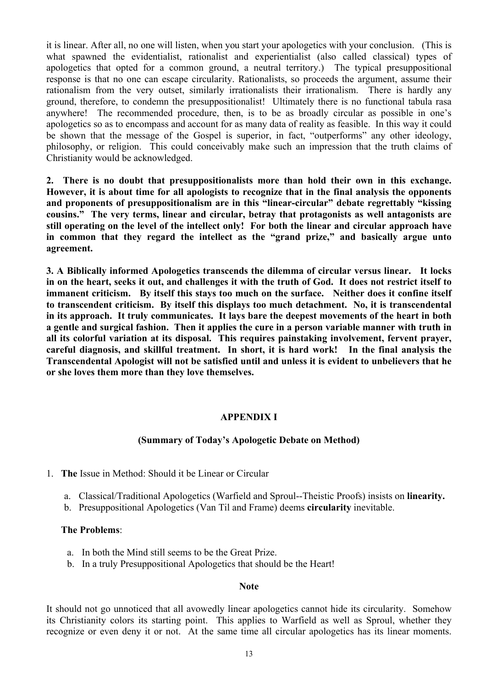it is linear. After all, no one will listen, when you start your apologetics with your conclusion. (This is what spawned the evidentialist, rationalist and experientialist (also called classical) types of apologetics that opted for a common ground, a neutral territory.) The typical presuppositional response is that no one can escape circularity. Rationalists, so proceeds the argument, assume their rationalism from the very outset, similarly irrationalists their irrationalism. There is hardly any ground, therefore, to condemn the presuppositionalist! Ultimately there is no functional tabula rasa anywhere! The recommended procedure, then, is to be as broadly circular as possible in one's apologetics so as to encompass and account for as many data of reality as feasible. In this way it could be shown that the message of the Gospel is superior, in fact, "outperforms" any other ideology, philosophy, or religion. This could conceivably make such an impression that the truth claims of Christianity would be acknowledged.

**2. There is no doubt that presuppositionalists more than hold their own in this exchange. However, it is about time for all apologists to recognize that in the final analysis the opponents and proponents of presuppositionalism are in this "linear-circular" debate regrettably "kissing cousins." The very terms, linear and circular, betray that protagonists as well antagonists are still operating on the level of the intellect only! For both the linear and circular approach have in common that they regard the intellect as the "grand prize," and basically argue unto agreement.** 

**3. A Biblically informed Apologetics transcends the dilemma of circular versus linear. It locks in on the heart, seeks it out, and challenges it with the truth of God. It does not restrict itself to immanent criticism. By itself this stays too much on the surface. Neither does it confine itself to transcendent criticism. By itself this displays too much detachment. No, it is transcendental in its approach. It truly communicates. It lays bare the deepest movements of the heart in both a gentle and surgical fashion. Then it applies the cure in a person variable manner with truth in all its colorful variation at its disposal. This requires painstaking involvement, fervent prayer, careful diagnosis, and skillful treatment. In short, it is hard work! In the final analysis the Transcendental Apologist will not be satisfied until and unless it is evident to unbelievers that he or she loves them more than they love themselves.** 

# **APPENDIX I**

## **(Summary of Today's Apologetic Debate on Method)**

- 1. **The** Issue in Method: Should it be Linear or Circular
	- a. Classical/Traditional Apologetics (Warfield and Sproul--Theistic Proofs) insists on **linearity.**
	- b. Presuppositional Apologetics (Van Til and Frame) deems **circularity** inevitable.

## **The Problems**:

- a. In both the Mind still seems to be the Great Prize.
- b. In a truly Presuppositional Apologetics that should be the Heart!

## **Note**

It should not go unnoticed that all avowedly linear apologetics cannot hide its circularity. Somehow its Christianity colors its starting point. This applies to Warfield as well as Sproul, whether they recognize or even deny it or not. At the same time all circular apologetics has its linear moments.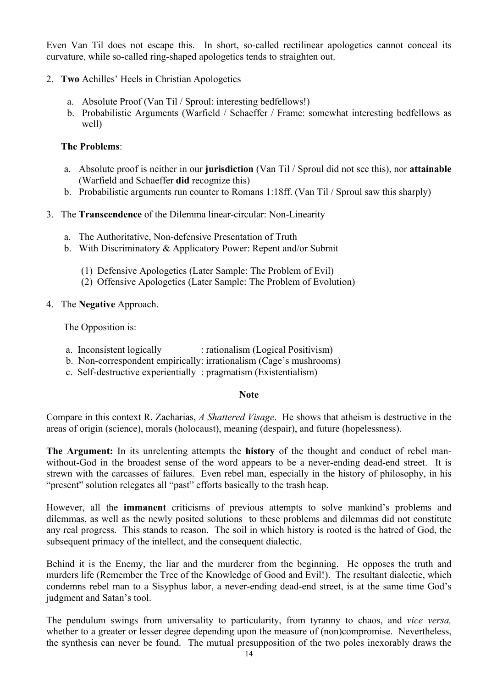Even Van Til does not escape this. In short, so-called rectilinear apologetics cannot conceal its curvature, while so-called ring-shaped apologetics tends to straighten out.

- 2. **Two** Achilles' Heels in Christian Apologetics
	- a. Absolute Proof (Van Til / Sproul: interesting bedfellows!)
	- b. Probabilistic Arguments (Warfield / Schaeffer / Frame: somewhat interesting bedfellows as well)

# **The Problems**:

- a. Absolute proof is neither in our **jurisdiction** (Van Til / Sproul did not see this), nor **attainable**  (Warfield and Schaeffer **did** recognize this)
- b. Probabilistic arguments run counter to Romans 1:18ff. (Van Til / Sproul saw this sharply)
- 3. The **Transcendence** of the Dilemma linear-circular: Non-Linearity
	- a. The Authoritative, Non-defensive Presentation of Truth
	- b. With Discriminatory & Applicatory Power: Repent and/or Submit
		- (1) Defensive Apologetics (Later Sample: The Problem of Evil)
		- (2) Offensive Apologetics (Later Sample: The Problem of Evolution)

# 4. The **Negative** Approach.

The Opposition is:

- a. Inconsistent logically : rationalism (Logical Positivism)
- b. Non-correspondent empirically: irrationalism (Cage's mushrooms)
- c. Self-destructive experientially : pragmatism (Existentialism)

## **Note**

Compare in this context R. Zacharias, *A Shattered Visage*. He shows that atheism is destructive in the areas of origin (science), morals (holocaust), meaning (despair), and future (hopelessness).

**The Argument:** In its unrelenting attempts the **history** of the thought and conduct of rebel manwithout-God in the broadest sense of the word appears to be a never-ending dead-end street. It is strewn with the carcasses of failures. Even rebel man, especially in the history of philosophy, in his "present" solution relegates all "past" efforts basically to the trash heap.

However, all the **immanent** criticisms of previous attempts to solve mankind's problems and dilemmas, as well as the newly posited solutions to these problems and dilemmas did not constitute any real progress. This stands to reason. The soil in which history is rooted is the hatred of God, the subsequent primacy of the intellect, and the consequent dialectic.

Behind it is the Enemy, the liar and the murderer from the beginning. He opposes the truth and murders life (Remember the Tree of the Knowledge of Good and Evil!). The resultant dialectic, which condemns rebel man to a Sisyphus labor, a never-ending dead-end street, is at the same time God's judgment and Satan's tool.

The pendulum swings from universality to particularity, from tyranny to chaos, and *vice versa,*  whether to a greater or lesser degree depending upon the measure of (non)compromise. Nevertheless, the synthesis can never be found. The mutual presupposition of the two poles inexorably draws the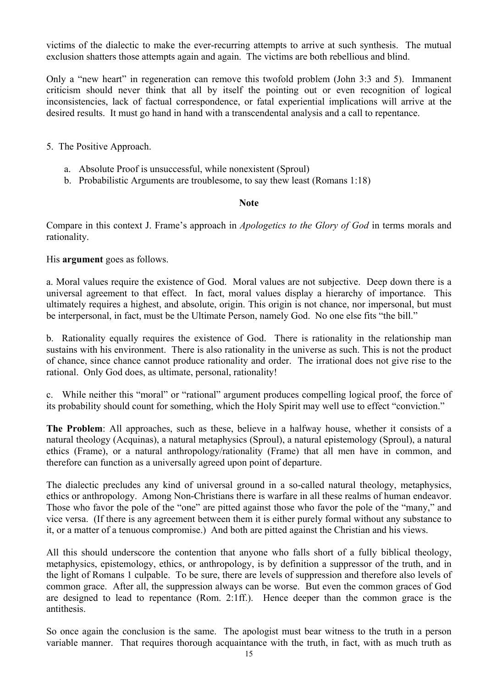victims of the dialectic to make the ever-recurring attempts to arrive at such synthesis. The mutual exclusion shatters those attempts again and again. The victims are both rebellious and blind.

Only a "new heart" in regeneration can remove this twofold problem (John 3:3 and 5). Immanent criticism should never think that all by itself the pointing out or even recognition of logical inconsistencies, lack of factual correspondence, or fatal experiential implications will arrive at the desired results. It must go hand in hand with a transcendental analysis and a call to repentance.

- 5. The Positive Approach.
	- a. Absolute Proof is unsuccessful, while nonexistent (Sproul)
	- b. Probabilistic Arguments are troublesome, to say thew least (Romans 1:18)

## **Note**

Compare in this context J. Frame's approach in *Apologetics to the Glory of God* in terms morals and rationality.

His **argument** goes as follows.

a. Moral values require the existence of God. Moral values are not subjective. Deep down there is a universal agreement to that effect. In fact, moral values display a hierarchy of importance. This ultimately requires a highest, and absolute, origin. This origin is not chance, nor impersonal, but must be interpersonal, in fact, must be the Ultimate Person, namely God. No one else fits "the bill."

b. Rationality equally requires the existence of God. There is rationality in the relationship man sustains with his environment. There is also rationality in the universe as such. This is not the product of chance, since chance cannot produce rationality and order. The irrational does not give rise to the rational. Only God does, as ultimate, personal, rationality!

c. While neither this "moral" or "rational" argument produces compelling logical proof, the force of its probability should count for something, which the Holy Spirit may well use to effect "conviction."

**The Problem**: All approaches, such as these, believe in a halfway house, whether it consists of a natural theology (Acquinas), a natural metaphysics (Sproul), a natural epistemology (Sproul), a natural ethics (Frame), or a natural anthropology/rationality (Frame) that all men have in common, and therefore can function as a universally agreed upon point of departure.

The dialectic precludes any kind of universal ground in a so-called natural theology, metaphysics, ethics or anthropology. Among Non-Christians there is warfare in all these realms of human endeavor. Those who favor the pole of the "one" are pitted against those who favor the pole of the "many," and vice versa. (If there is any agreement between them it is either purely formal without any substance to it, or a matter of a tenuous compromise.) And both are pitted against the Christian and his views.

All this should underscore the contention that anyone who falls short of a fully biblical theology, metaphysics, epistemology, ethics, or anthropology, is by definition a suppressor of the truth, and in the light of Romans 1 culpable. To be sure, there are levels of suppression and therefore also levels of common grace. After all, the suppression always can be worse. But even the common graces of God are designed to lead to repentance (Rom. 2:1ff.). Hence deeper than the common grace is the antithesis.

So once again the conclusion is the same. The apologist must bear witness to the truth in a person variable manner. That requires thorough acquaintance with the truth, in fact, with as much truth as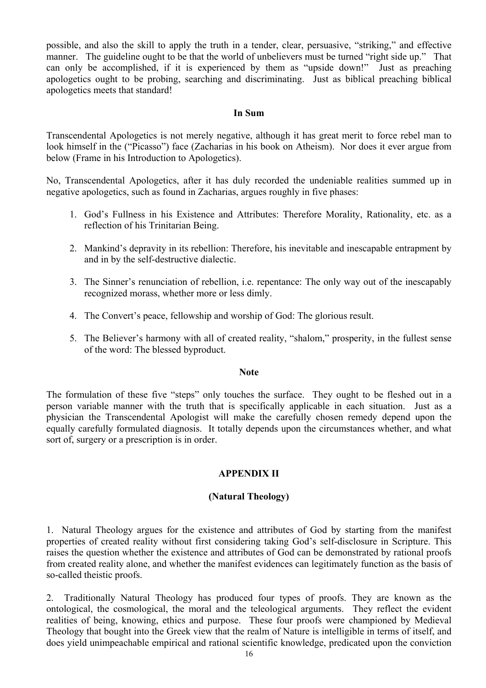possible, and also the skill to apply the truth in a tender, clear, persuasive, "striking," and effective manner. The guideline ought to be that the world of unbelievers must be turned "right side up." That can only be accomplished, if it is experienced by them as "upside down!" Just as preaching apologetics ought to be probing, searching and discriminating. Just as biblical preaching biblical apologetics meets that standard!

## **In Sum**

Transcendental Apologetics is not merely negative, although it has great merit to force rebel man to look himself in the ("Picasso") face (Zacharias in his book on Atheism). Nor does it ever argue from below (Frame in his Introduction to Apologetics).

No, Transcendental Apologetics, after it has duly recorded the undeniable realities summed up in negative apologetics, such as found in Zacharias, argues roughly in five phases:

- 1. God's Fullness in his Existence and Attributes: Therefore Morality, Rationality, etc. as a reflection of his Trinitarian Being.
- 2. Mankind's depravity in its rebellion: Therefore, his inevitable and inescapable entrapment by and in by the self-destructive dialectic.
- 3. The Sinner's renunciation of rebellion, i.e. repentance: The only way out of the inescapably recognized morass, whether more or less dimly.
- 4. The Convert's peace, fellowship and worship of God: The glorious result.
- 5. The Believer's harmony with all of created reality, "shalom," prosperity, in the fullest sense of the word: The blessed byproduct.

#### **Note**

The formulation of these five "steps" only touches the surface. They ought to be fleshed out in a person variable manner with the truth that is specifically applicable in each situation. Just as a physician the Transcendental Apologist will make the carefully chosen remedy depend upon the equally carefully formulated diagnosis. It totally depends upon the circumstances whether, and what sort of, surgery or a prescription is in order.

# **APPENDIX II**

## **(Natural Theology)**

1. Natural Theology argues for the existence and attributes of God by starting from the manifest properties of created reality without first considering taking God's self-disclosure in Scripture. This raises the question whether the existence and attributes of God can be demonstrated by rational proofs from created reality alone, and whether the manifest evidences can legitimately function as the basis of so-called theistic proofs.

2. Traditionally Natural Theology has produced four types of proofs. They are known as the ontological, the cosmological, the moral and the teleological arguments. They reflect the evident realities of being, knowing, ethics and purpose. These four proofs were championed by Medieval Theology that bought into the Greek view that the realm of Nature is intelligible in terms of itself, and does yield unimpeachable empirical and rational scientific knowledge, predicated upon the conviction